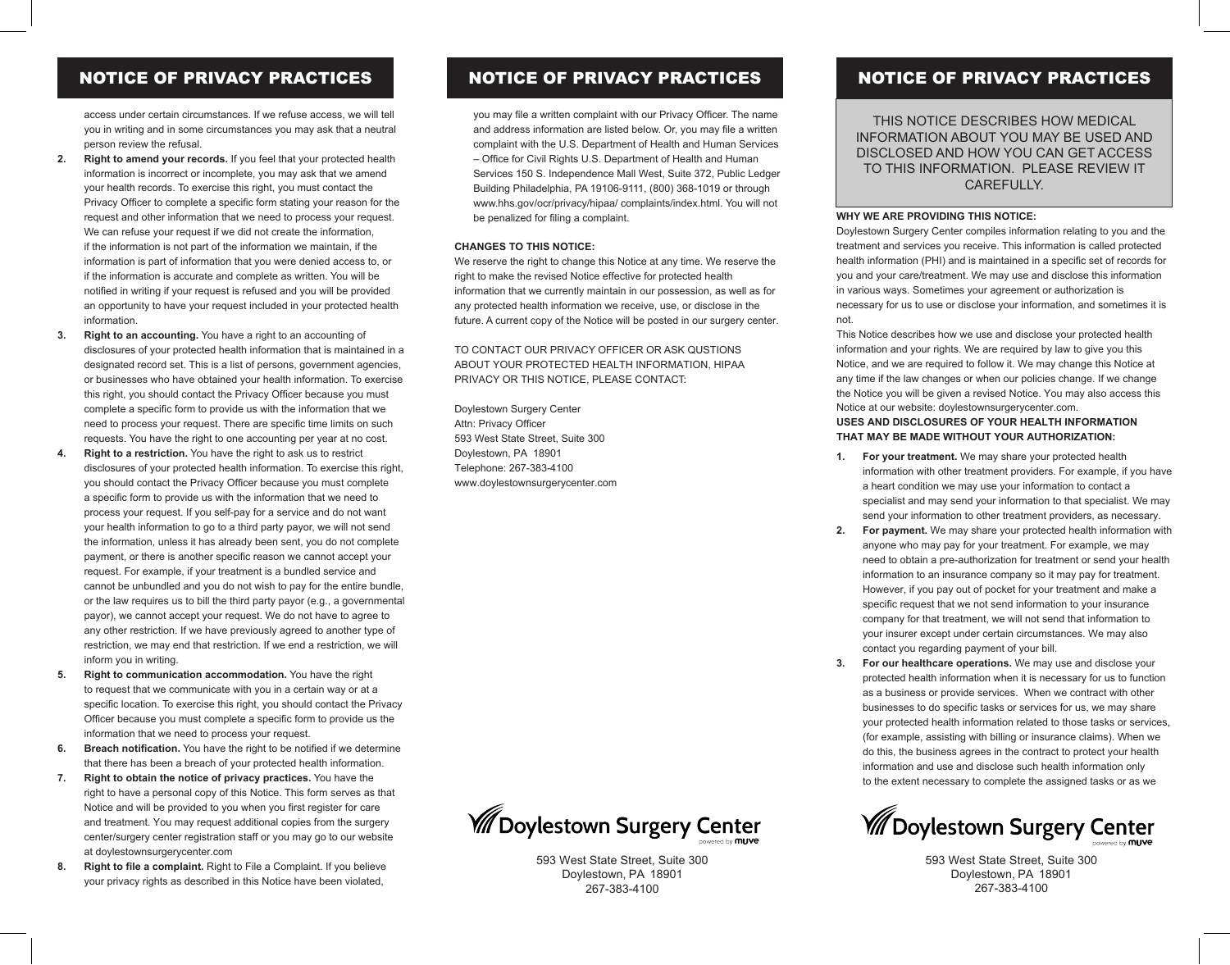## NOTICE OF PRIVACY PRACTICES

access under certain circumstances. If we refuse access, we will tell you in writing and in some circumstances you may ask that a neutral person review the refusal.

- **2. Right to amend your records.** If you feel that your protected health information is incorrect or incomplete, you may ask that we amend your health records. To exercise this right, you must contact the Privacy Officer to complete a specific form stating your reason for the request and other information that we need to process your request. We can refuse your request if we did not create the information, if the information is not part of the information we maintain, if the information is part of information that you were denied access to, or if the information is accurate and complete as written. You will be notified in writing if your request is refused and you will be provided an opportunity to have your request included in your protected health information.
- **3. Right to an accounting.** You have a right to an accounting of disclosures of your protected health information that is maintained in a designated record set. This is a list of persons, government agencies, or businesses who have obtained your health information. To exercise this right, you should contact the Privacy Officer because you must complete a specific form to provide us with the information that we need to process your request. There are specific time limits on such requests. You have the right to one accounting per year at no cost.
- **4. Right to a restriction.** You have the right to ask us to restrict disclosures of your protected health information. To exercise this right, you should contact the Privacy Officer because you must complete a specific form to provide us with the information that we need to process your request. If you self-pay for a service and do not want your health information to go to a third party payor, we will not send the information, unless it has already been sent, you do not complete payment, or there is another specific reason we cannot accept your request. For example, if your treatment is a bundled service and cannot be unbundled and you do not wish to pay for the entire bundle, or the law requires us to bill the third party payor (e.g., a governmental payor), we cannot accept your request. We do not have to agree to any other restriction. If we have previously agreed to another type of restriction, we may end that restriction. If we end a restriction, we will inform you in writing.
- **5. Right to communication accommodation.** You have the right to request that we communicate with you in a certain way or at a specific location. To exercise this right, you should contact the Privacy Officer because you must complete a specific form to provide us the information that we need to process your request.
- **6. Breach notification.** You have the right to be notified if we determine that there has been a breach of your protected health information.
- **7. Right to obtain the notice of privacy practices.** You have the right to have a personal copy of this Notice. This form serves as that Notice and will be provided to you when you first register for care and treatment. You may request additional copies from the surgery center/surgery center registration staff or you may go to our website at doylestownsurgerycenter.com
- **8. Right to file a complaint.** Right to File a Complaint. If you believe your privacy rights as described in this Notice have been violated,

## NOTICE OF PRIVACY PRACTICES NOTICE OF PRIVACY PRACTICES

you may file a written complaint with our Privacy Officer. The name and address information are listed below. Or, you may file a written complaint with the U.S. Department of Health and Human Services – Office for Civil Rights U.S. Department of Health and Human Services 150 S. Independence Mall West, Suite 372, Public Ledger Building Philadelphia, PA 19106-9111, (800) 368-1019 or through www.hhs.gov/ocr/privacy/hipaa/ complaints/index.html. You will not be penalized for filing a complaint.

## **CHANGES TO THIS NOTICE:**

We reserve the right to change this Notice at any time. We reserve the right to make the revised Notice effective for protected health information that we currently maintain in our possession, as well as for any protected health information we receive, use, or disclose in the future. A current copy of the Notice will be posted in our surgery center.

TO CONTACT OUR PRIVACY OFFICER OR ASK QUSTIONS ABOUT YOUR PROTECTED HEALTH INFORMATION, HIPAA PRIVACY OR THIS NOTICE, PLEASE CONTACT:

Doylestown Surgery Center Attn: Privacy Officer 593 West State Street, Suite 300 Doylestown, PA 18901 Telephone: 267-383-4100 www.doylestownsurgerycenter.com



593 West State Street, Suite 300 Doylestown, PA 18901 267-383-4100

THIS NOTICE DESCRIBES HOW MEDICAL INFORMATION ABOUT YOU MAY BE USED AND DISCLOSED AND HOW YOU CAN GET ACCESS TO THIS INFORMATION. PLEASE REVIEW IT CAREFULLY.

### **WHY WE ARE PROVIDING THIS NOTICE:**

Doylestown Surgery Center compiles information relating to you and the treatment and services you receive. This information is called protected health information (PHI) and is maintained in a specific set of records for you and your care/treatment. We may use and disclose this information in various ways. Sometimes your agreement or authorization is necessary for us to use or disclose your information, and sometimes it is not.

This Notice describes how we use and disclose your protected health information and your rights. We are required by law to give you this Notice, and we are required to follow it. We may change this Notice at any time if the law changes or when our policies change. If we change the Notice you will be given a revised Notice. You may also access this Notice at our website: doylestownsurgerycenter.com. **USES AND DISCLOSURES OF YOUR HEALTH INFORMATION** 

## **THAT MAY BE MADE WITHOUT YOUR AUTHORIZATION:**

- **1. For your treatment.** We may share your protected health information with other treatment providers. For example, if you have a heart condition we may use your information to contact a specialist and may send your information to that specialist. We may send your information to other treatment providers, as necessary.
- **2. For payment.** We may share your protected health information with anyone who may pay for your treatment. For example, we may need to obtain a pre-authorization for treatment or send your health information to an insurance company so it may pay for treatment. However, if you pay out of pocket for your treatment and make a specific request that we not send information to your insurance company for that treatment, we will not send that information to your insurer except under certain circumstances. We may also contact you regarding payment of your bill.
- **3. For our healthcare operations.** We may use and disclose your protected health information when it is necessary for us to function as a business or provide services. When we contract with other businesses to do specific tasks or services for us, we may share your protected health information related to those tasks or services, (for example, assisting with billing or insurance claims). When we do this, the business agrees in the contract to protect your health information and use and disclose such health information only to the extent necessary to complete the assigned tasks or as we



<sup>593</sup> West State Street, Suite 300 Doylestown, PA 18901 267-383-4100